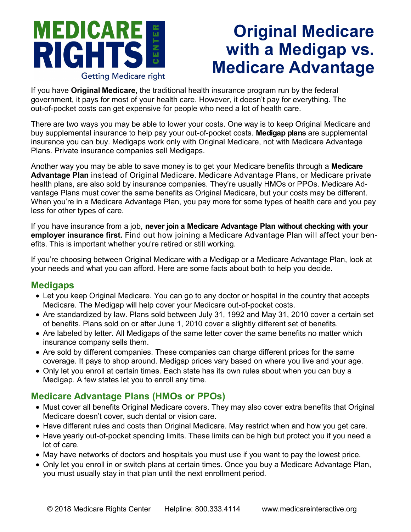#### **MEDICARE**  $E$ R ENTI **RIGHT**  $\bullet$ **Getting Medicare right**

# **Original Medicare with a Medigap vs. Medicare Advantage**

If you have **Original Medicare**, the traditional health insurance program run by the federal government, it pays for most of your health care. However, it doesn't pay for everything. The out-of-pocket costs can get expensive for people who need a lot of health care.

There are two ways you may be able to lower your costs. One way is to keep Original Medicare and buy supplemental insurance to help pay your out-of-pocket costs. **Medigap plans** are supplemental insurance you can buy. Medigaps work only with Original Medicare, not with Medicare Advantage Plans. Private insurance companies sell Medigaps.

Another way you may be able to save money is to get your Medicare benefits through a **Medicare Advantage Plan** instead of Original Medicare. Medicare Advantage Plans, or Medicare private health plans, are also sold by insurance companies. They're usually HMOs or PPOs. Medicare Advantage Plans must cover the same benefits as Original Medicare, but your costs may be different. When you're in a Medicare Advantage Plan, you pay more for some types of health care and you pay less for other types of care.

If you have insurance from a job, **never join a Medicare Advantage Plan without checking with your employer insurance first.** Find out how joining a Medicare Advantage Plan will affect your benefits. This is important whether you're retired or still working.

If you're choosing between Original Medicare with a Medigap or a Medicare Advantage Plan, look at your needs and what you can afford. Here are some facts about both to help you decide.

#### **Medigaps**

- Let you keep Original Medicare. You can go to any doctor or hospital in the country that accepts Medicare. The Medigap will help cover your Medicare out-of-pocket costs.
- Are standardized by law. Plans sold between July 31, 1992 and May 31, 2010 cover a certain set of benefits. Plans sold on or after June 1, 2010 cover a slightly different set of benefits.
- Are labeled by letter. All Medigaps of the same letter cover the same benefits no matter which insurance company sells them.
- Are sold by different companies. These companies can charge different prices for the same coverage. It pays to shop around. Medigap prices vary based on where you live and your age.
- Only let you enroll at certain times. Each state has its own rules about when you can buy a Medigap. A few states let you to enroll any time.

### **Medicare Advantage Plans (HMOs or PPOs)**

- Must cover all benefits Original Medicare covers. They may also cover extra benefits that Original Medicare doesn't cover, such dental or vision care.
- Have different rules and costs than Original Medicare. May restrict when and how you get care.
- Have yearly out-of-pocket spending limits. These limits can be high but protect you if you need a lot of care.
- May have networks of doctors and hospitals you must use if you want to pay the lowest price.
- Only let you enroll in or switch plans at certain times. Once you buy a Medicare Advantage Plan, you must usually stay in that plan until the next enrollment period.